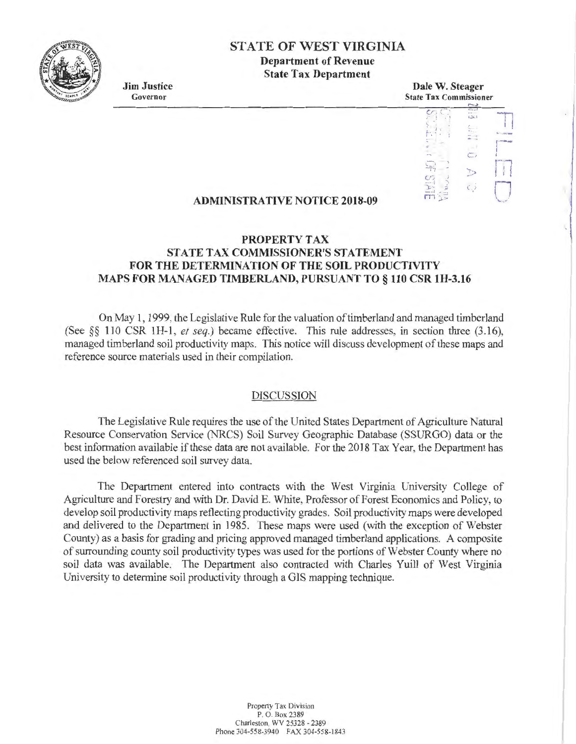

# **STATE OF WEST VIRGINIA**

**Department of Revenue State Tax Department** 

**Jim Justice**  Governor

**Dale W. Steager**  State Tax Commissioner

#### **I)** 1 <sup>~</sup>Tl *CJ*  I j ,-1 **c, I**  .• r-n ' I I I  $\frac{1}{2}$ *(f j* **<sup>J</sup>** *C)*   $\mathbb{E}$ ,  $\mathbb{E}$  $\epsilon$ .  $\mathsf{m}_{\mathbb{Z}}$

### **ADMINISTRATIVE NOTICE 2018-09**

## **PROPERTY TAX STATE TAX COMMISSIONER'S STATEMENT FOR THE DETERMINATION OF THE SOIL PRODUCTIVITY MAPS FOR MANAGED TIMBERLAND, PURSUANT TO § 110 CSR lH-3.16**

On May 1, 1999, the Legislative Rule for the valuation of timberland and managed timberland (See §§ 110 CSR IH-1 , *et seq.)* became effective. This rule addresses, in section three (3.16), managed timberland soil productivity maps. This notice will discuss development of these maps and reference source materials used in their compilation.

#### DISCUSSION

The Legislative Rule requires the use of the United States Department of Agriculture Natural Resource Conservation Service (NRCS) Soil Survey Geographic Database (SSURGO) data or the best information available if these data are not available. For the 2018 Tax Year, the Department has used the below referenced soil survey data.

The Department entered into contracts with the West Virginia University College of Agriculture and Forestry and with Dr. David E. White, Professor of Forest Economics and Policy, to develop soil productivity maps reflecting productivity grades. Soil productivity maps were developed and delivered to the Department in 1985. These maps were used (with the exception of Webster County) as a basis for grading and pricing approved managed timberland applications. A composite of surrounding county soil productivity types was used for the portions of Webster County where no soil data was available. The Department also contracted with Charles Yuill of West Virginia University to determine soil productivity through a GIS mapping technique.

> Property Tax Division P. 0. Box 2389 Charleston, WV 25328 - 2389 Phone 304-558-3940 FAX 304-558-1843